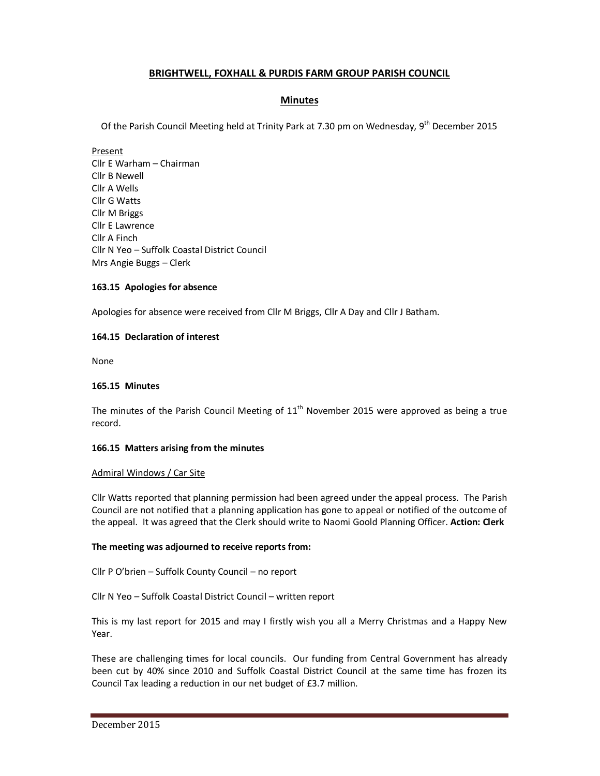# **BRIGHTWELL, FOXHALL & PURDIS FARM GROUP PARISH COUNCIL**

### **Minutes**

Of the Parish Council Meeting held at Trinity Park at 7.30 pm on Wednesday,  $9<sup>th</sup>$  December 2015

Present Cllr E Warham – Chairman Cllr B Newell Cllr A Wells Cllr G Watts Cllr M Briggs Cllr E Lawrence Cllr A Finch Cllr N Yeo – Suffolk Coastal District Council Mrs Angie Buggs – Clerk

### **163.15 Apologies for absence**

Apologies for absence were received from Cllr M Briggs, Cllr A Day and Cllr J Batham.

#### **164.15 Declaration of interest**

None

#### **165.15 Minutes**

The minutes of the Parish Council Meeting of  $11<sup>th</sup>$  November 2015 were approved as being a true record.

#### **166.15 Matters arising from the minutes**

#### Admiral Windows / Car Site

Cllr Watts reported that planning permission had been agreed under the appeal process. The Parish Council are not notified that a planning application has gone to appeal or notified of the outcome of the appeal. It was agreed that the Clerk should write to Naomi Goold Planning Officer. **Action: Clerk** 

#### **The meeting was adjourned to receive reports from:**

Cllr P O'brien – Suffolk County Council – no report

Cllr N Yeo – Suffolk Coastal District Council – written report

This is my last report for 2015 and may I firstly wish you all a Merry Christmas and a Happy New Year.

These are challenging times for local councils. Our funding from Central Government has already been cut by 40% since 2010 and Suffolk Coastal District Council at the same time has frozen its Council Tax leading a reduction in our net budget of £3.7 million.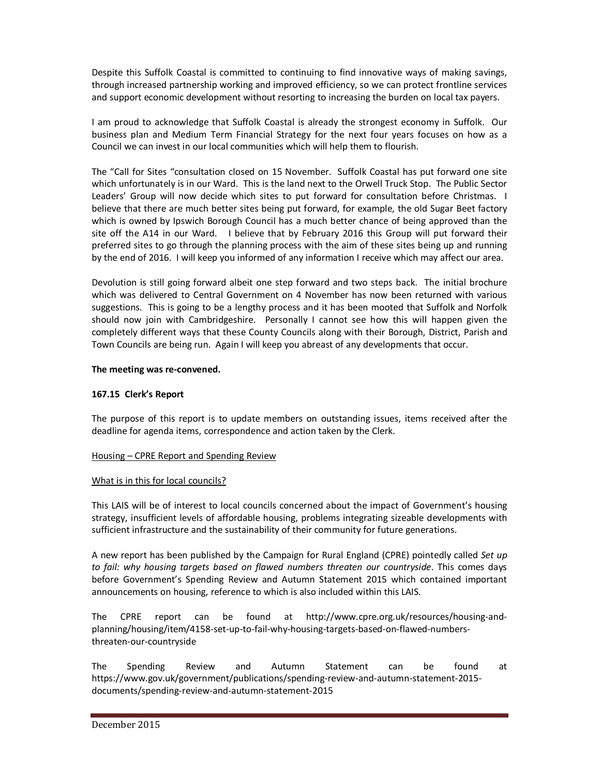Despite this Suffolk Coastal is committed to continuing to find innovative ways of making savings, through increased partnership working and improved efficiency, so we can protect frontline services and support economic development without resorting to increasing the burden on local tax payers.

I am proud to acknowledge that Suffolk Coastal is already the strongest economy in Suffolk. Our business plan and Medium Term Financial Strategy for the next four years focuses on how as a Council we can invest in our local communities which will help them to flourish.

The "Call for Sites "consultation closed on 15 November. Suffolk Coastal has put forward one site which unfortunately is in our Ward. This is the land next to the Orwell Truck Stop. The Public Sector Leaders' Group will now decide which sites to put forward for consultation before Christmas. I believe that there are much better sites being put forward, for example, the old Sugar Beet factory which is owned by Ipswich Borough Council has a much better chance of being approved than the site off the A14 in our Ward. I believe that by February 2016 this Group will put forward their preferred sites to go through the planning process with the aim of these sites being up and running by the end of 2016. I will keep you informed of any information I receive which may affect our area.

Devolution is still going forward albeit one step forward and two steps back. The initial brochure which was delivered to Central Government on 4 November has now been returned with various suggestions. This is going to be a lengthy process and it has been mooted that Suffolk and Norfolk should now join with Cambridgeshire. Personally I cannot see how this will happen given the completely different ways that these County Councils along with their Borough, District, Parish and Town Councils are being run. Again I will keep you abreast of any developments that occur.

### **The meeting was re-convened.**

### **167.15 Clerk's Report**

The purpose of this report is to update members on outstanding issues, items received after the deadline for agenda items, correspondence and action taken by the Clerk.

#### Housing – CPRE Report and Spending Review

#### What is in this for local councils?

This LAIS will be of interest to local councils concerned about the impact of Government's housing strategy, insufficient levels of affordable housing, problems integrating sizeable developments with sufficient infrastructure and the sustainability of their community for future generations.

A new report has been published by the Campaign for Rural England (CPRE) pointedly called *Set up to fail: why housing targets based on flawed numbers threaten our countryside*. This comes days before Government's Spending Review and Autumn Statement 2015 which contained important announcements on housing, reference to which is also included within this LAIS.

The CPRE report can be found at http://www.cpre.org.uk/resources/housing-andplanning/housing/item/4158-set-up-to-fail-why-housing-targets-based-on-flawed-numbersthreaten-our-countryside

The Spending Review and Autumn Statement can be found at https://www.gov.uk/government/publications/spending-review-and-autumn-statement-2015 documents/spending-review-and-autumn-statement-2015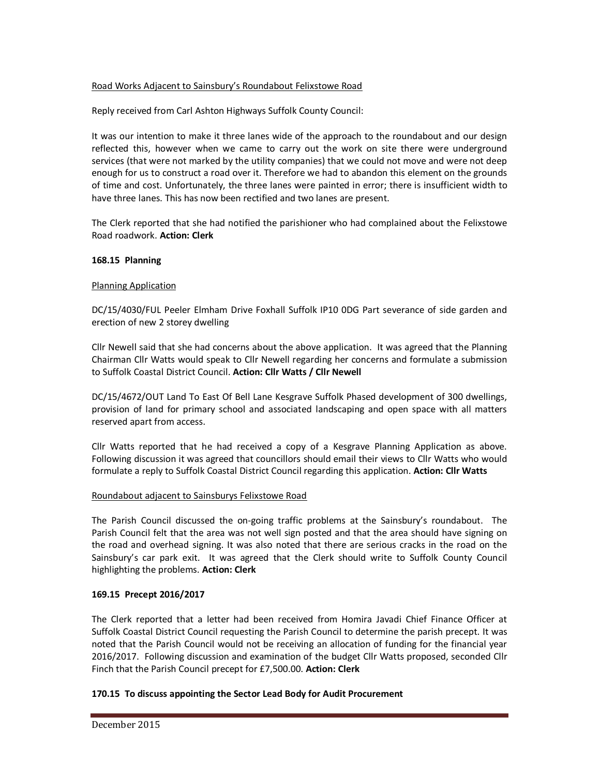### Road Works Adjacent to Sainsbury's Roundabout Felixstowe Road

Reply received from Carl Ashton Highways Suffolk County Council:

It was our intention to make it three lanes wide of the approach to the roundabout and our design reflected this, however when we came to carry out the work on site there were underground services (that were not marked by the utility companies) that we could not move and were not deep enough for us to construct a road over it. Therefore we had to abandon this element on the grounds of time and cost. Unfortunately, the three lanes were painted in error; there is insufficient width to have three lanes. This has now been rectified and two lanes are present.

The Clerk reported that she had notified the parishioner who had complained about the Felixstowe Road roadwork. **Action: Clerk** 

### **168.15 Planning**

### Planning Application

DC/15/4030/FUL Peeler Elmham Drive Foxhall Suffolk IP10 0DG Part severance of side garden and erection of new 2 storey dwelling

Cllr Newell said that she had concerns about the above application. It was agreed that the Planning Chairman Cllr Watts would speak to Cllr Newell regarding her concerns and formulate a submission to Suffolk Coastal District Council. **Action: Cllr Watts / Cllr Newell**

DC/15/4672/OUT Land To East Of Bell Lane Kesgrave Suffolk Phased development of 300 dwellings, provision of land for primary school and associated landscaping and open space with all matters reserved apart from access.

Cllr Watts reported that he had received a copy of a Kesgrave Planning Application as above. Following discussion it was agreed that councillors should email their views to Cllr Watts who would formulate a reply to Suffolk Coastal District Council regarding this application. **Action: Cllr Watts**

### Roundabout adjacent to Sainsburys Felixstowe Road

The Parish Council discussed the on-going traffic problems at the Sainsbury's roundabout. The Parish Council felt that the area was not well sign posted and that the area should have signing on the road and overhead signing. It was also noted that there are serious cracks in the road on the Sainsbury's car park exit. It was agreed that the Clerk should write to Suffolk County Council highlighting the problems. **Action: Clerk** 

### **169.15 Precept 2016/2017**

The Clerk reported that a letter had been received from Homira Javadi Chief Finance Officer at Suffolk Coastal District Council requesting the Parish Council to determine the parish precept. It was noted that the Parish Council would not be receiving an allocation of funding for the financial year 2016/2017. Following discussion and examination of the budget Cllr Watts proposed, seconded Cllr Finch that the Parish Council precept for £7,500.00. **Action: Clerk** 

### **170.15 To discuss appointing the Sector Lead Body for Audit Procurement**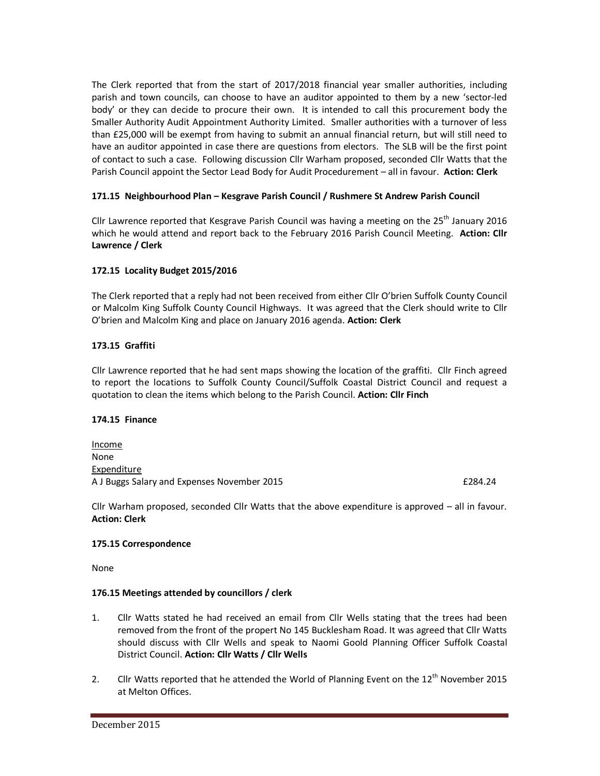The Clerk reported that from the start of 2017/2018 financial year smaller authorities, including parish and town councils, can choose to have an auditor appointed to them by a new 'sector-led body' or they can decide to procure their own. It is intended to call this procurement body the Smaller Authority Audit Appointment Authority Limited. Smaller authorities with a turnover of less than £25,000 will be exempt from having to submit an annual financial return, but will still need to have an auditor appointed in case there are questions from electors. The SLB will be the first point of contact to such a case. Following discussion Cllr Warham proposed, seconded Cllr Watts that the Parish Council appoint the Sector Lead Body for Audit Procedurement – all in favour. **Action: Clerk** 

### **171.15 Neighbourhood Plan – Kesgrave Parish Council / Rushmere St Andrew Parish Council**

Cllr Lawrence reported that Kesgrave Parish Council was having a meeting on the  $25<sup>th</sup>$  January 2016 which he would attend and report back to the February 2016 Parish Council Meeting. **Action: Cllr Lawrence / Clerk** 

# **172.15 Locality Budget 2015/2016**

The Clerk reported that a reply had not been received from either Cllr O'brien Suffolk County Council or Malcolm King Suffolk County Council Highways. It was agreed that the Clerk should write to Cllr O'brien and Malcolm King and place on January 2016 agenda. **Action: Clerk** 

# **173.15 Graffiti**

Cllr Lawrence reported that he had sent maps showing the location of the graffiti. Cllr Finch agreed to report the locations to Suffolk County Council/Suffolk Coastal District Council and request a quotation to clean the items which belong to the Parish Council. **Action: Cllr Finch** 

### **174.15 Finance**

Income None Expenditure A J Buggs Salary and Expenses November 2015 **EXPENSION CONSTRUSTED AT A SET A** EXPANSION EXPANSION EXPANSION EXP

Cllr Warham proposed, seconded Cllr Watts that the above expenditure is approved – all in favour. **Action: Clerk** 

### **175.15 Correspondence**

None

### **176.15 Meetings attended by councillors / clerk**

- 1. Cllr Watts stated he had received an email from Cllr Wells stating that the trees had been removed from the front of the propert No 145 Bucklesham Road. It was agreed that Cllr Watts should discuss with Cllr Wells and speak to Naomi Goold Planning Officer Suffolk Coastal District Council. **Action: Cllr Watts / Cllr Wells**
- 2. Cllr Watts reported that he attended the World of Planning Event on the  $12<sup>th</sup>$  November 2015 at Melton Offices.